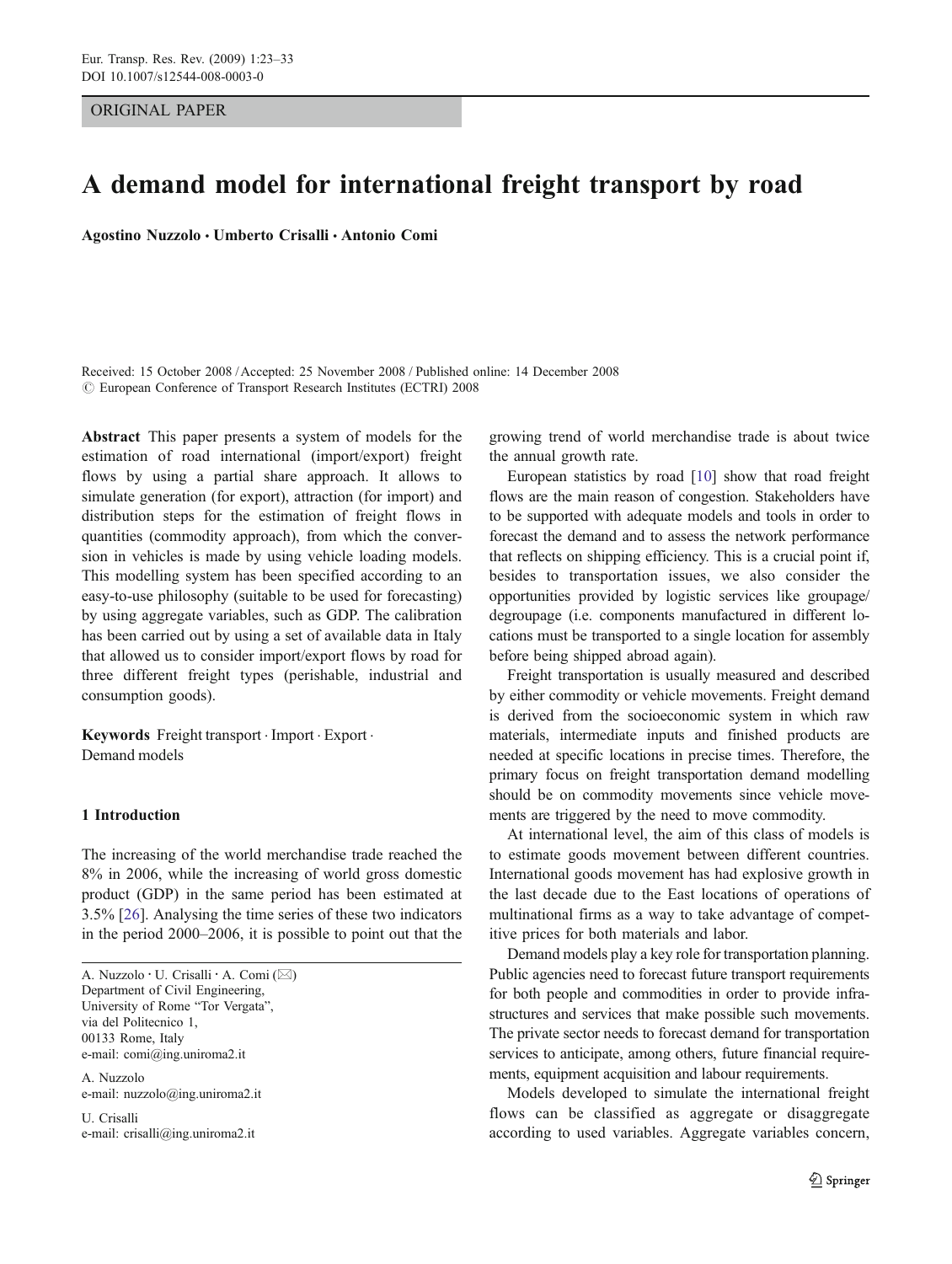## ORIGINAL PAPER

# A demand model for international freight transport by road

Agostino Nuzzolo & Umberto Crisalli & Antonio Comi

Received: 15 October 2008 /Accepted: 25 November 2008 / Published online: 14 December 2008  $\circ$  European Conference of Transport Research Institutes (ECTRI) 2008

Abstract This paper presents a system of models for the estimation of road international (import/export) freight flows by using a partial share approach. It allows to simulate generation (for export), attraction (for import) and distribution steps for the estimation of freight flows in quantities (commodity approach), from which the conversion in vehicles is made by using vehicle loading models. This modelling system has been specified according to an easy-to-use philosophy (suitable to be used for forecasting) by using aggregate variables, such as GDP. The calibration has been carried out by using a set of available data in Italy that allowed us to consider import/export flows by road for three different freight types (perishable, industrial and consumption goods).

Keywords Freight transport . Import . Export . Demand models

# 1 Introduction

The increasing of the world merchandise trade reached the 8% in 2006, while the increasing of world gross domestic product (GDP) in the same period has been estimated at 3.5% [[26\]](#page-10-0). Analysing the time series of these two indicators in the period 2000–2006, it is possible to point out that the

A. Nuzzolo e-mail: nuzzolo@ing.uniroma2.it U. Crisalli

e-mail: crisalli@ing.uniroma2.it

growing trend of world merchandise trade is about twice the annual growth rate.

European statistics by road [[10](#page-10-0)] show that road freight flows are the main reason of congestion. Stakeholders have to be supported with adequate models and tools in order to forecast the demand and to assess the network performance that reflects on shipping efficiency. This is a crucial point if, besides to transportation issues, we also consider the opportunities provided by logistic services like groupage/ degroupage (i.e. components manufactured in different locations must be transported to a single location for assembly before being shipped abroad again).

Freight transportation is usually measured and described by either commodity or vehicle movements. Freight demand is derived from the socioeconomic system in which raw materials, intermediate inputs and finished products are needed at specific locations in precise times. Therefore, the primary focus on freight transportation demand modelling should be on commodity movements since vehicle movements are triggered by the need to move commodity.

At international level, the aim of this class of models is to estimate goods movement between different countries. International goods movement has had explosive growth in the last decade due to the East locations of operations of multinational firms as a way to take advantage of competitive prices for both materials and labor.

Demand models play a key role for transportation planning. Public agencies need to forecast future transport requirements for both people and commodities in order to provide infrastructures and services that make possible such movements. The private sector needs to forecast demand for transportation services to anticipate, among others, future financial requirements, equipment acquisition and labour requirements.

Models developed to simulate the international freight flows can be classified as aggregate or disaggregate according to used variables. Aggregate variables concern,

A. Nuzzolo : U. Crisalli : A. Comi (*\**) Department of Civil Engineering, University of Rome "Tor Vergata", via del Politecnico 1, 00133 Rome, Italy e-mail: comi@ing.uniroma2.it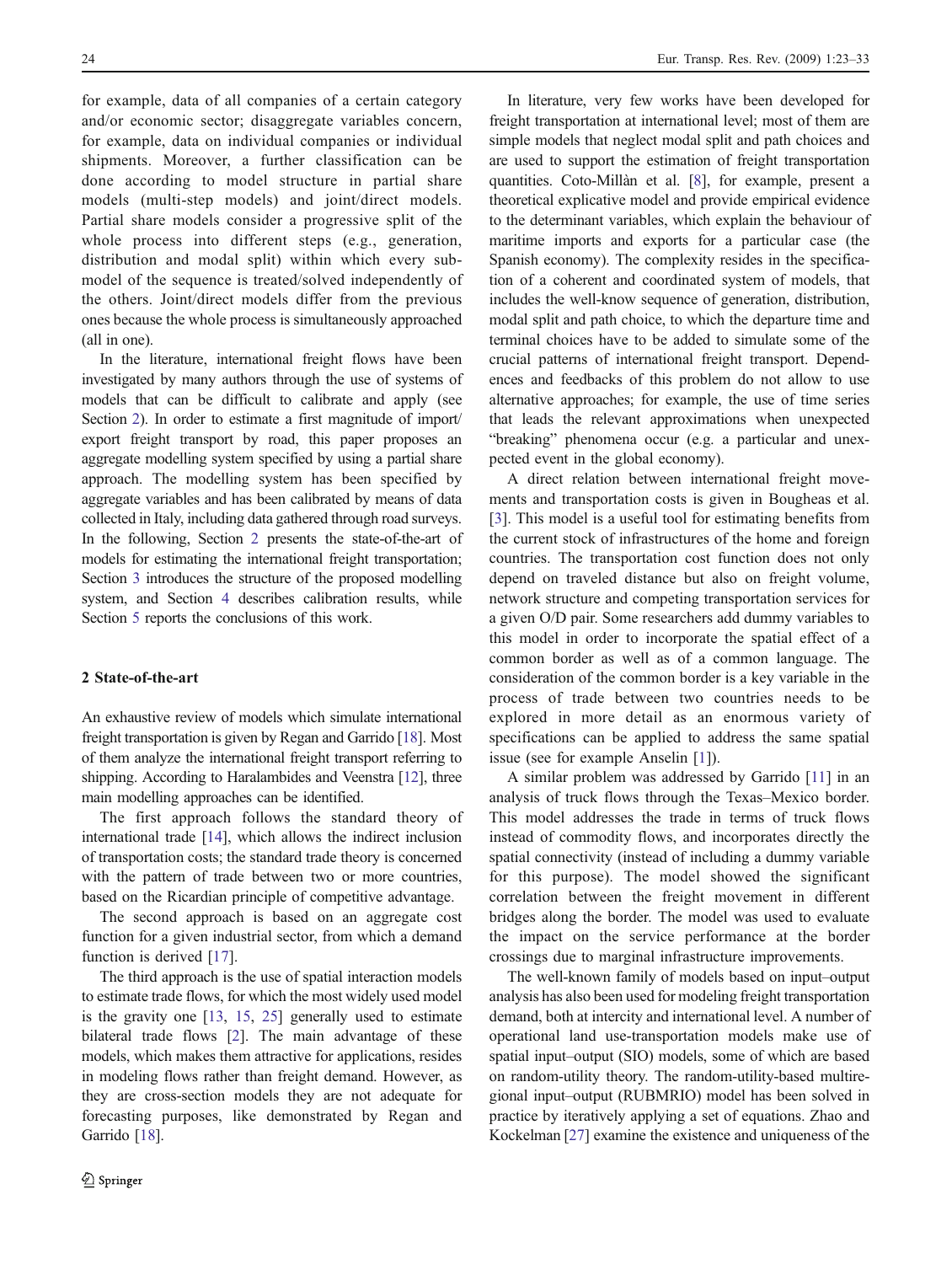<span id="page-1-0"></span>for example, data of all companies of a certain category and/or economic sector; disaggregate variables concern, for example, data on individual companies or individual shipments. Moreover, a further classification can be done according to model structure in partial share models (multi-step models) and joint/direct models. Partial share models consider a progressive split of the whole process into different steps (e.g., generation, distribution and modal split) within which every submodel of the sequence is treated/solved independently of the others. Joint/direct models differ from the previous ones because the whole process is simultaneously approached (all in one).

In the literature, international freight flows have been investigated by many authors through the use of systems of models that can be difficult to calibrate and apply (see Section 2). In order to estimate a first magnitude of import/ export freight transport by road, this paper proposes an aggregate modelling system specified by using a partial share approach. The modelling system has been specified by aggregate variables and has been calibrated by means of data collected in Italy, including data gathered through road surveys. In the following, Section 2 presents the state-of-the-art of models for estimating the international freight transportation; Section [3](#page-2-0) introduces the structure of the proposed modelling system, and Section [4](#page-4-0) describes calibration results, while Section [5](#page-9-0) reports the conclusions of this work.

## 2 State-of-the-art

An exhaustive review of models which simulate international freight transportation is given by Regan and Garrido [[18](#page-10-0)]. Most of them analyze the international freight transport referring to shipping. According to Haralambides and Veenstra [\[12](#page-10-0)], three main modelling approaches can be identified.

The first approach follows the standard theory of international trade [\[14](#page-10-0)], which allows the indirect inclusion of transportation costs; the standard trade theory is concerned with the pattern of trade between two or more countries, based on the Ricardian principle of competitive advantage.

The second approach is based on an aggregate cost function for a given industrial sector, from which a demand function is derived [\[17](#page-10-0)].

The third approach is the use of spatial interaction models to estimate trade flows, for which the most widely used model is the gravity one [\[13,](#page-10-0) [15,](#page-10-0) [25\]](#page-10-0) generally used to estimate bilateral trade flows [\[2](#page-9-0)]. The main advantage of these models, which makes them attractive for applications, resides in modeling flows rather than freight demand. However, as they are cross-section models they are not adequate for forecasting purposes, like demonstrated by Regan and Garrido [\[18](#page-10-0)].

In literature, very few works have been developed for freight transportation at international level; most of them are simple models that neglect modal split and path choices and are used to support the estimation of freight transportation quantities. Coto-Millàn et al. [\[8](#page-9-0)], for example, present a theoretical explicative model and provide empirical evidence to the determinant variables, which explain the behaviour of maritime imports and exports for a particular case (the Spanish economy). The complexity resides in the specification of a coherent and coordinated system of models, that includes the well-know sequence of generation, distribution, modal split and path choice, to which the departure time and terminal choices have to be added to simulate some of the crucial patterns of international freight transport. Dependences and feedbacks of this problem do not allow to use alternative approaches; for example, the use of time series that leads the relevant approximations when unexpected "breaking" phenomena occur (e.g. a particular and unexpected event in the global economy).

A direct relation between international freight movements and transportation costs is given in Bougheas et al. [\[3](#page-9-0)]. This model is a useful tool for estimating benefits from the current stock of infrastructures of the home and foreign countries. The transportation cost function does not only depend on traveled distance but also on freight volume, network structure and competing transportation services for a given O/D pair. Some researchers add dummy variables to this model in order to incorporate the spatial effect of a common border as well as of a common language. The consideration of the common border is a key variable in the process of trade between two countries needs to be explored in more detail as an enormous variety of specifications can be applied to address the same spatial issue (see for example Anselin [\[1](#page-9-0)]).

A similar problem was addressed by Garrido [\[11](#page-10-0)] in an analysis of truck flows through the Texas–Mexico border. This model addresses the trade in terms of truck flows instead of commodity flows, and incorporates directly the spatial connectivity (instead of including a dummy variable for this purpose). The model showed the significant correlation between the freight movement in different bridges along the border. The model was used to evaluate the impact on the service performance at the border crossings due to marginal infrastructure improvements.

The well-known family of models based on input–output analysis has also been used for modeling freight transportation demand, both at intercity and international level. A number of operational land use-transportation models make use of spatial input–output (SIO) models, some of which are based on random-utility theory. The random-utility-based multiregional input–output (RUBMRIO) model has been solved in practice by iteratively applying a set of equations. Zhao and Kockelman [\[27\]](#page-10-0) examine the existence and uniqueness of the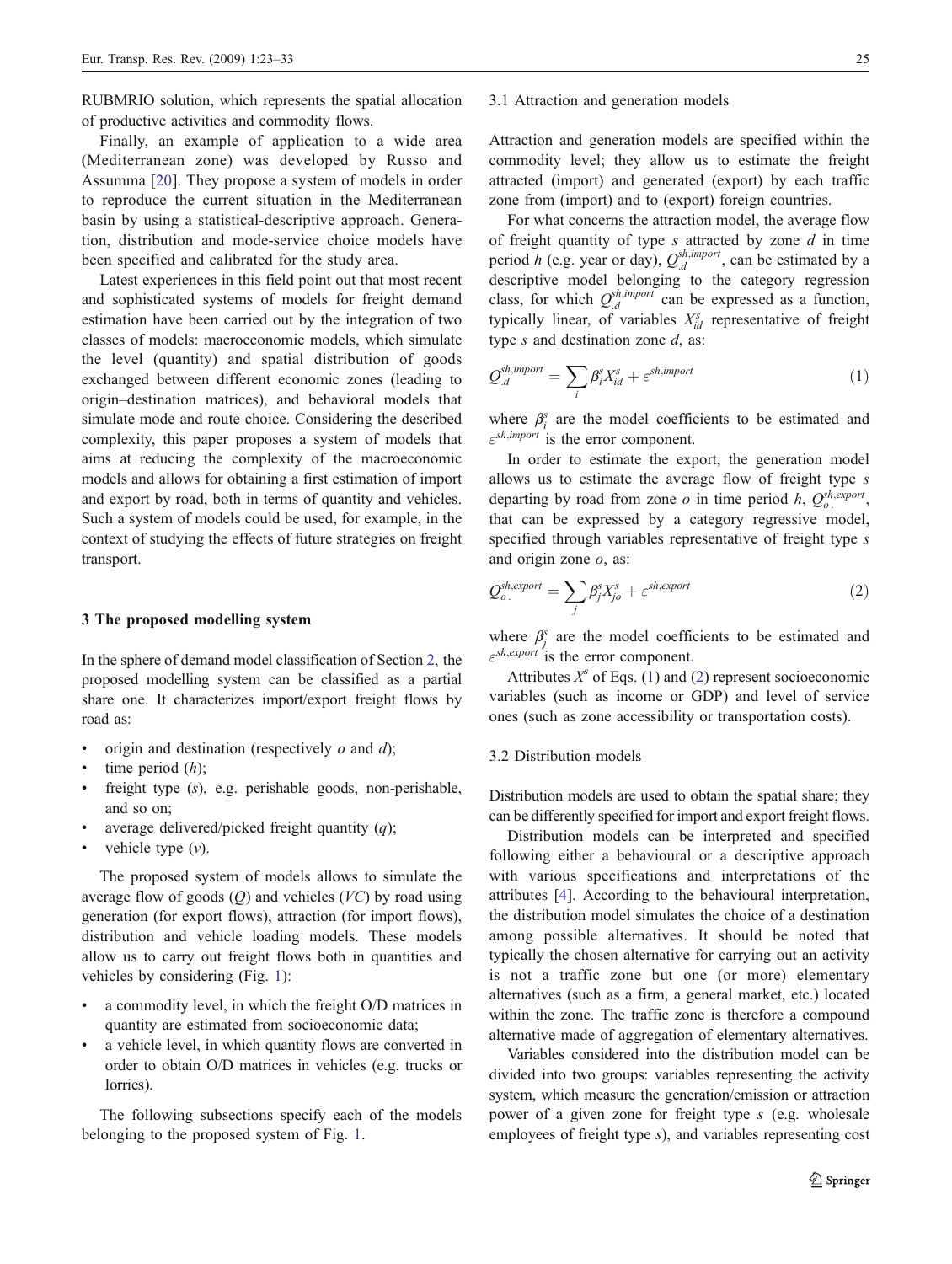<span id="page-2-0"></span>RUBMRIO solution, which represents the spatial allocation of productive activities and commodity flows.

Finally, an example of application to a wide area (Mediterranean zone) was developed by Russo and Assumma [[20\]](#page-10-0). They propose a system of models in order to reproduce the current situation in the Mediterranean basin by using a statistical-descriptive approach. Generation, distribution and mode-service choice models have been specified and calibrated for the study area.

Latest experiences in this field point out that most recent and sophisticated systems of models for freight demand estimation have been carried out by the integration of two classes of models: macroeconomic models, which simulate the level (quantity) and spatial distribution of goods exchanged between different economic zones (leading to origin–destination matrices), and behavioral models that simulate mode and route choice. Considering the described complexity, this paper proposes a system of models that aims at reducing the complexity of the macroeconomic models and allows for obtaining a first estimation of import and export by road, both in terms of quantity and vehicles. Such a system of models could be used, for example, in the context of studying the effects of future strategies on freight transport.

#### 3 The proposed modelling system

In the sphere of demand model classification of Section [2](#page-1-0), the proposed modelling system can be classified as a partial share one. It characterizes import/export freight flows by road as:

- origin and destination (respectively  $o$  and  $d$ );
- time period  $(h)$ ;
- freight type  $(s)$ , e.g. perishable goods, non-perishable, and so on;
- average delivered/picked freight quantity  $(q)$ ;
- vehicle type  $(v)$ .

The proposed system of models allows to simulate the average flow of goods  $(O)$  and vehicles  $(VC)$  by road using generation (for export flows), attraction (for import flows), distribution and vehicle loading models. These models allow us to carry out freight flows both in quantities and vehicles by considering (Fig. [1\)](#page-3-0):

- & a commodity level, in which the freight O/D matrices in quantity are estimated from socioeconomic data;
- a vehicle level, in which quantity flows are converted in order to obtain O/D matrices in vehicles (e.g. trucks or lorries).

The following subsections specify each of the models belonging to the proposed system of Fig. [1](#page-3-0).

#### 3.1 Attraction and generation models

Attraction and generation models are specified within the commodity level; they allow us to estimate the freight attracted (import) and generated (export) by each traffic zone from (import) and to (export) foreign countries.

For what concerns the attraction model, the average flow of freight quantity of type  $s$  attracted by zone  $d$  in time period h (e.g. year or day),  $Q_d^{sh,import}$ , can be estimated by a descriptive model belonging to the category regression class, for which  $Q_{d}^{sh,import}$  can be expressed as a function, typically linear, of variables  $X_{id}^s$  representative of freight type  $s$  and destination zone  $d$ , as:

$$
\mathcal{Q}_{d}^{sh,import} = \sum_{i} \beta_{i}^{s} X_{id}^{s} + \varepsilon^{sh,import}
$$
\n(1)

where  $\beta_i^s$  are the model coefficients to be estimated and  $\varepsilon^{sh,import}$  is the error component.

In order to estimate the export, the generation model allows us to estimate the average flow of freight type s departing by road from zone o in time period h,  $Q_0^{sh, export}$ , that can be expressed by a category regressive model, specified through variables representative of freight type s and origin zone o, as:

$$
Q_o^{sh, export} = \sum_j \beta_j^s X_{jo}^s + \varepsilon^{sh, export} \tag{2}
$$

where  $\beta_j^s$  are the model coefficients to be estimated and  $\varepsilon^{sh, export}$  is the error component.

Attributes  $X^s$  of Eqs. (1) and (2) represent socioeconomic variables (such as income or GDP) and level of service ones (such as zone accessibility or transportation costs).

## 3.2 Distribution models

Distribution models are used to obtain the spatial share; they can be differently specified for import and export freight flows.

Distribution models can be interpreted and specified following either a behavioural or a descriptive approach with various specifications and interpretations of the attributes [[4\]](#page-9-0). According to the behavioural interpretation, the distribution model simulates the choice of a destination among possible alternatives. It should be noted that typically the chosen alternative for carrying out an activity is not a traffic zone but one (or more) elementary alternatives (such as a firm, a general market, etc.) located within the zone. The traffic zone is therefore a compound alternative made of aggregation of elementary alternatives.

Variables considered into the distribution model can be divided into two groups: variables representing the activity system, which measure the generation/emission or attraction power of a given zone for freight type s (e.g. wholesale employees of freight type s), and variables representing cost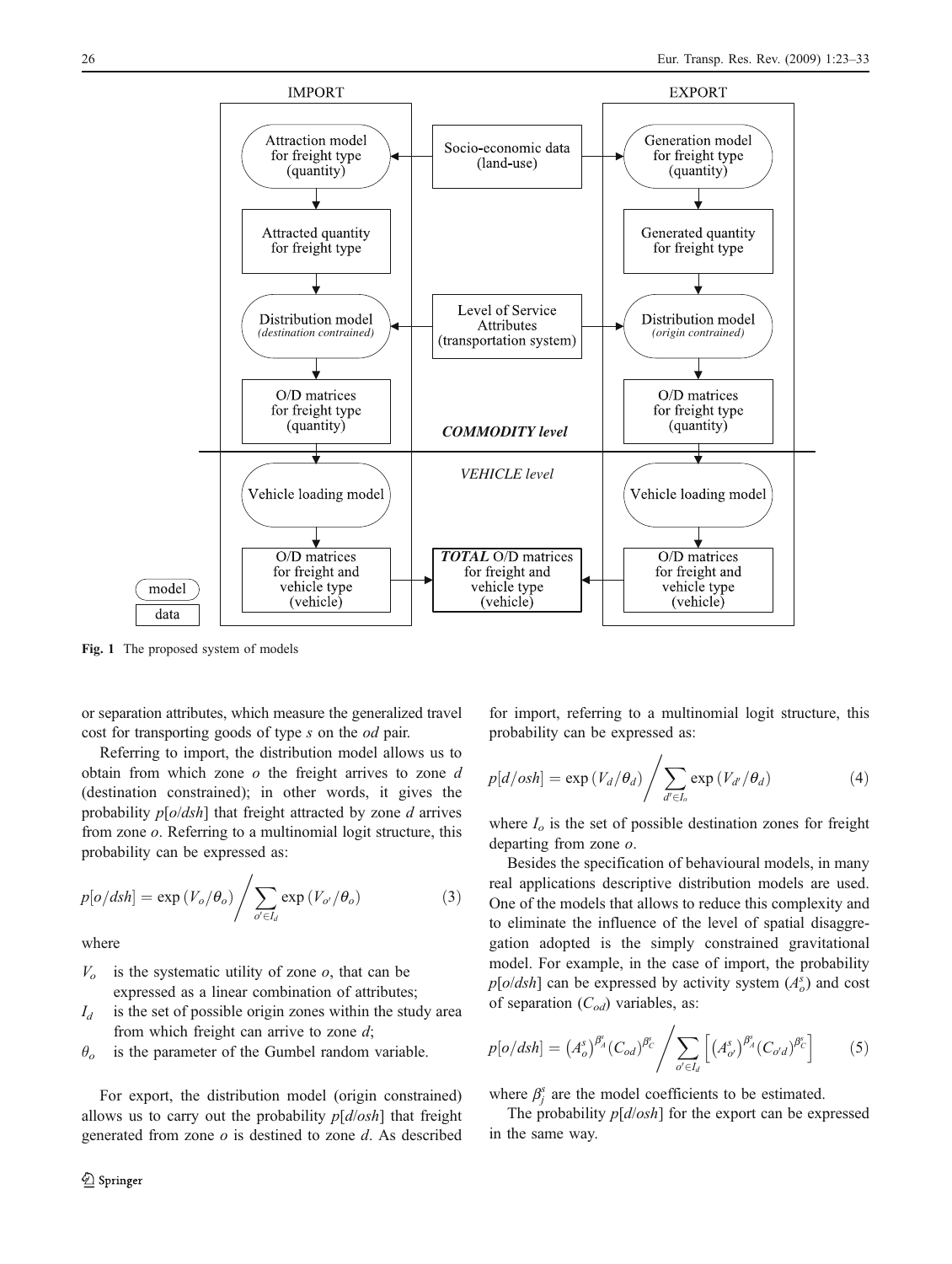<span id="page-3-0"></span>

Fig. 1 The proposed system of models

or separation attributes, which measure the generalized travel cost for transporting goods of type s on the od pair.

Referring to import, the distribution model allows us to obtain from which zone  $o$  the freight arrives to zone  $d$ (destination constrained); in other words, it gives the probability  $p[o/dsh]$  that freight attracted by zone d arrives from zone o. Referring to a multinomial logit structure, this probability can be expressed as:

$$
p[o/dsh] = \exp(V_o/\theta_o) / \sum_{o' \in I_d} \exp(V_{o'}/\theta_o)
$$
 (3)

where

- $V<sub>o</sub>$  is the systematic utility of zone  $o$ , that can be expressed as a linear combination of attributes;
- $I_d$  is the set of possible origin zones within the study area from which freight can arrive to zone d;
- $\theta$ <sub>o</sub> is the parameter of the Gumbel random variable.

For export, the distribution model (origin constrained) allows us to carry out the probability  $p[d/osh]$  that freight generated from zone  $o$  is destined to zone  $d$ . As described for import, referring to a multinomial logit structure, this probability can be expressed as:

$$
p[d/osh] = \exp(V_d/\theta_d) / \sum_{d' \in I_o} \exp(V_{d'}/\theta_d)
$$
 (4)

where  $I<sub>o</sub>$  is the set of possible destination zones for freight departing from zone o.

Besides the specification of behavioural models, in many real applications descriptive distribution models are used. One of the models that allows to reduce this complexity and to eliminate the influence of the level of spatial disaggregation adopted is the simply constrained gravitational model. For example, in the case of import, the probability  $p[o/dsh]$  can be expressed by activity system  $(A_o^s)$  and cost of separation  $(C_{od})$  variables, as:

$$
p[o/dsh] = (A_o^s)^{\beta_A^s} (C_{od})^{\beta_C^s} / \sum_{o' \in I_d} \left[ (A_{o'}^s)^{\beta_A^s} (C_{o'd})^{\beta_C^s} \right] \tag{5}
$$

where  $\beta_j^s$  are the model coefficients to be estimated.

The probability  $p[d/osh]$  for the export can be expressed in the same way.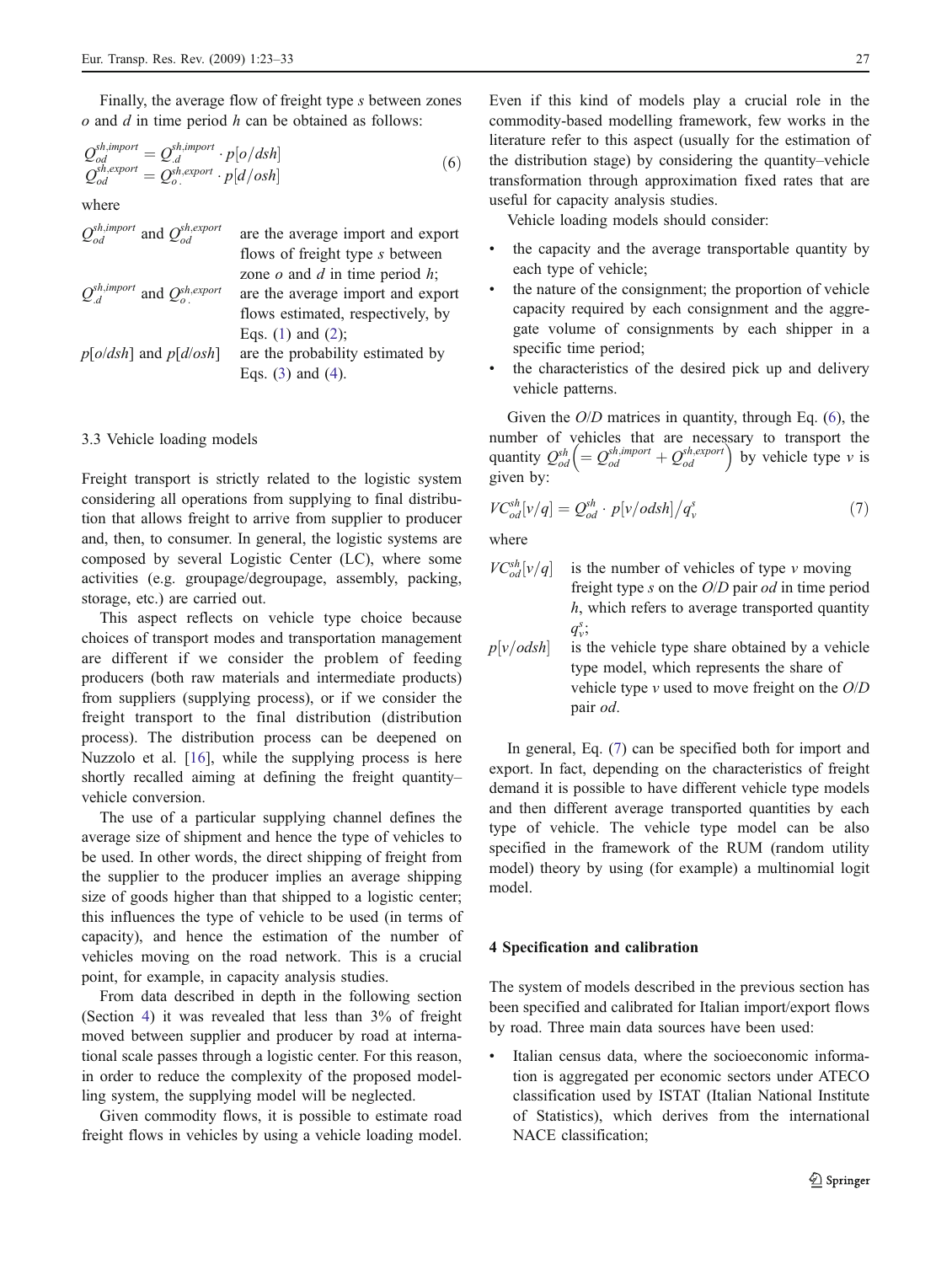<span id="page-4-0"></span>Finally, the average flow of freight type s between zones  $o$  and  $d$  in time period  $h$  can be obtained as follows:

$$
\mathcal{Q}_{od}^{sh,import} = \mathcal{Q}_{d}^{sh,import} \cdot p[o/dsh]
$$
\n
$$
\mathcal{Q}_{od}^{sh,export} = \mathcal{Q}_{o}^{sh,export} \cdot p[d/osh]
$$
\n(6)

where

$$
Q_{od}^{sh,import}
$$
 and  $Q_{od}^{sh,export}$  are the average import and export flows of freight type *s* between zone *o* and *d* in time period *h*;  
\n $Q_{d}^{sh,import}$  and  $Q_{o}^{sh,export}$  are the average import and export flows estimated, respectively, by Eqs. (1) and (2);  
\n $p[o/dsh]$  and  $p[d/osh]$  are the probability estimated by Eqs. (3) and (4).

## 3.3 Vehicle loading models

Freight transport is strictly related to the logistic system considering all operations from supplying to final distribution that allows freight to arrive from supplier to producer and, then, to consumer. In general, the logistic systems are composed by several Logistic Center (LC), where some activities (e.g. groupage/degroupage, assembly, packing, storage, etc.) are carried out.

This aspect reflects on vehicle type choice because choices of transport modes and transportation management are different if we consider the problem of feeding producers (both raw materials and intermediate products) from suppliers (supplying process), or if we consider the freight transport to the final distribution (distribution process). The distribution process can be deepened on Nuzzolo et al. [[16\]](#page-10-0), while the supplying process is here shortly recalled aiming at defining the freight quantity– vehicle conversion.

The use of a particular supplying channel defines the average size of shipment and hence the type of vehicles to be used. In other words, the direct shipping of freight from the supplier to the producer implies an average shipping size of goods higher than that shipped to a logistic center; this influences the type of vehicle to be used (in terms of capacity), and hence the estimation of the number of vehicles moving on the road network. This is a crucial point, for example, in capacity analysis studies.

From data described in depth in the following section (Section 4) it was revealed that less than 3% of freight moved between supplier and producer by road at international scale passes through a logistic center. For this reason, in order to reduce the complexity of the proposed modelling system, the supplying model will be neglected.

Given commodity flows, it is possible to estimate road freight flows in vehicles by using a vehicle loading model.

Even if this kind of models play a crucial role in the commodity-based modelling framework, few works in the literature refer to this aspect (usually for the estimation of the distribution stage) by considering the quantity–vehicle transformation through approximation fixed rates that are useful for capacity analysis studies.

Vehicle loading models should consider:

- & the capacity and the average transportable quantity by each type of vehicle;
- the nature of the consignment; the proportion of vehicle capacity required by each consignment and the aggregate volume of consignments by each shipper in a specific time period;
- the characteristics of the desired pick up and delivery vehicle patterns.

Given the  $O/D$  matrices in quantity, through Eq. (6), the number of vehicles that are necessary to transport the quantity  $Q_{od}^{sh}$   $\left(=Q_{od}^{sh,import}+Q_{od}^{sh,export}\right)$  by vehicle type v is given by:

$$
VC_{od}^{sh}[v/q] = Q_{od}^{sh} \cdot p[v/odsh]/q_v^s \tag{7}
$$

where

- $VC_{od}^{sh}[v/q]$ is the number of vehicles of type  $\nu$  moving freight type s on the O/D pair od in time period h, which refers to average transported quantity  $q_{\nu}^s$
- $p[v/odsh]$  is the vehicle type share obtained by a vehicle type model, which represents the share of vehicle type  $v$  used to move freight on the  $O/D$ pair od.

In general, Eq. (7) can be specified both for import and export. In fact, depending on the characteristics of freight demand it is possible to have different vehicle type models and then different average transported quantities by each type of vehicle. The vehicle type model can be also specified in the framework of the RUM (random utility model) theory by using (for example) a multinomial logit model.

## 4 Specification and calibration

The system of models described in the previous section has been specified and calibrated for Italian import/export flows by road. Three main data sources have been used:

& Italian census data, where the socioeconomic information is aggregated per economic sectors under ATECO classification used by ISTAT (Italian National Institute of Statistics), which derives from the international NACE classification;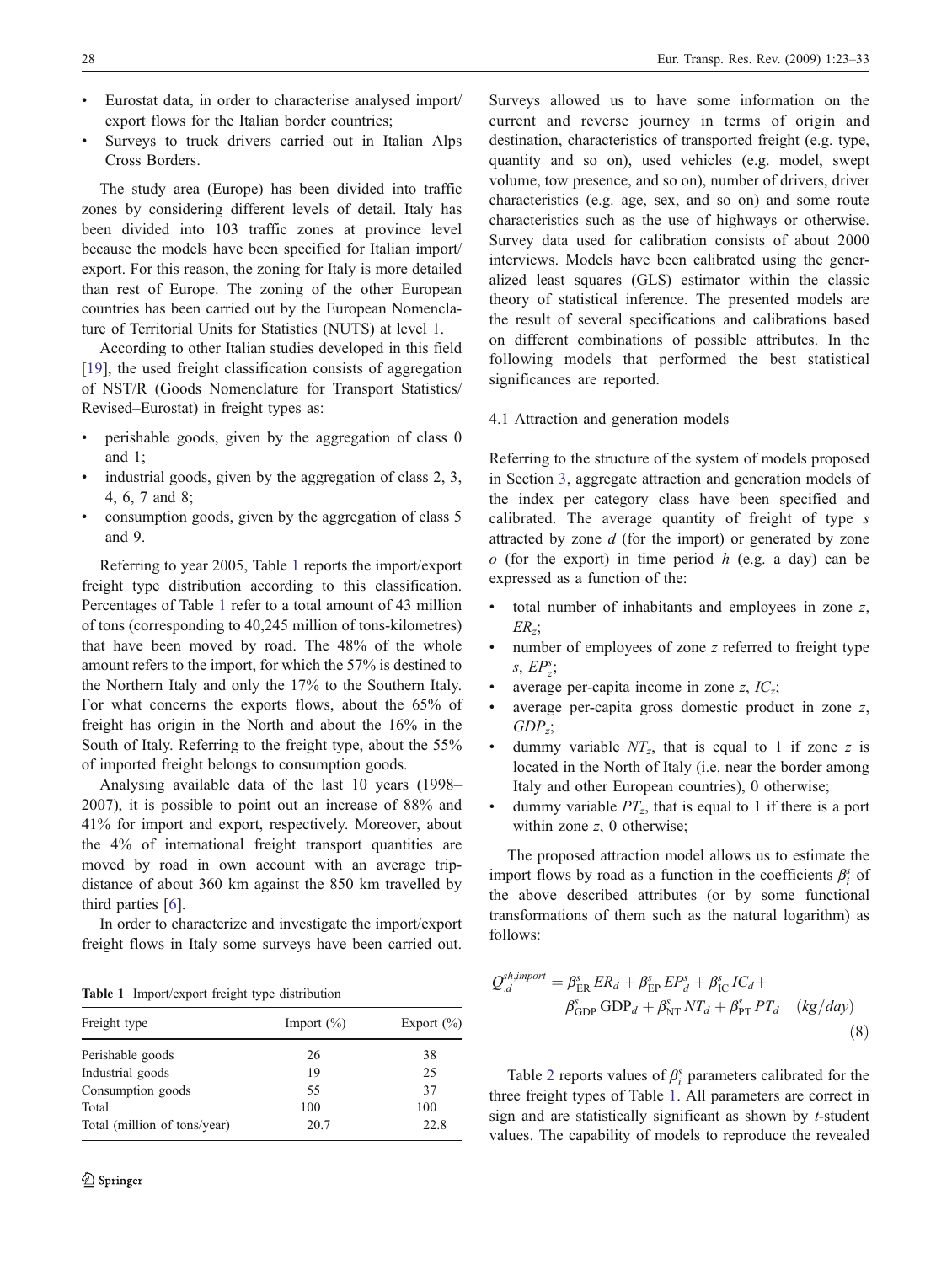- <span id="page-5-0"></span>& Eurostat data, in order to characterise analysed import/ export flows for the Italian border countries;
- Surveys to truck drivers carried out in Italian Alps Cross Borders.

The study area (Europe) has been divided into traffic zones by considering different levels of detail. Italy has been divided into 103 traffic zones at province level because the models have been specified for Italian import/ export. For this reason, the zoning for Italy is more detailed than rest of Europe. The zoning of the other European countries has been carried out by the European Nomenclature of Territorial Units for Statistics (NUTS) at level 1.

According to other Italian studies developed in this field [\[19](#page-10-0)], the used freight classification consists of aggregation of NST/R (Goods Nomenclature for Transport Statistics/ Revised–Eurostat) in freight types as:

- perishable goods, given by the aggregation of class 0 and 1;
- industrial goods, given by the aggregation of class 2, 3, 4, 6, 7 and 8;
- & consumption goods, given by the aggregation of class 5 and 9.

Referring to year 2005, Table 1 reports the import/export freight type distribution according to this classification. Percentages of Table 1 refer to a total amount of 43 million of tons (corresponding to 40,245 million of tons-kilometres) that have been moved by road. The 48% of the whole amount refers to the import, for which the 57% is destined to the Northern Italy and only the 17% to the Southern Italy. For what concerns the exports flows, about the 65% of freight has origin in the North and about the 16% in the South of Italy. Referring to the freight type, about the 55% of imported freight belongs to consumption goods.

Analysing available data of the last 10 years (1998– 2007), it is possible to point out an increase of 88% and 41% for import and export, respectively. Moreover, about the 4% of international freight transport quantities are moved by road in own account with an average tripdistance of about 360 km against the 850 km travelled by third parties [[6\]](#page-9-0).

In order to characterize and investigate the import/export freight flows in Italy some surveys have been carried out.

Table 1 Import/export freight type distribution

| Freight type                 | Import $(\% )$ | Export $(\% )$ |
|------------------------------|----------------|----------------|
| Perishable goods             | 26             | 38             |
| Industrial goods             | 19             | 25             |
| Consumption goods            | 55             | 37             |
| Total                        | 100            | 100            |
| Total (million of tons/year) | 20.7           | 22.8           |

Surveys allowed us to have some information on the current and reverse journey in terms of origin and destination, characteristics of transported freight (e.g. type, quantity and so on), used vehicles (e.g. model, swept volume, tow presence, and so on), number of drivers, driver characteristics (e.g. age, sex, and so on) and some route characteristics such as the use of highways or otherwise. Survey data used for calibration consists of about 2000 interviews. Models have been calibrated using the generalized least squares (GLS) estimator within the classic theory of statistical inference. The presented models are the result of several specifications and calibrations based on different combinations of possible attributes. In the following models that performed the best statistical significances are reported.

#### 4.1 Attraction and generation models

Referring to the structure of the system of models proposed in Section [3,](#page-2-0) aggregate attraction and generation models of the index per category class have been specified and calibrated. The average quantity of freight of type s attracted by zone d (for the import) or generated by zone  $o$  (for the export) in time period h (e.g. a day) can be expressed as a function of the:

- total number of inhabitants and employees in zone  $z$ ,  $ER_z$ ;
- number of employees of zone  $z$  referred to freight type  $s, EP<sub>z</sub><sup>s</sup>$ ;
- $\bullet$  average per-capita income in zone z,  $IC_z$ ;
- & average per-capita gross domestic product in zone z,  $GDP<sub>z</sub>$ ;
- dummy variable  $NT_z$ , that is equal to 1 if zone z is located in the North of Italy (i.e. near the border among Italy and other European countries), 0 otherwise;
- $\bullet$  dummy variable  $PT_z$ , that is equal to 1 if there is a port within zone z, 0 otherwise;

The proposed attraction model allows us to estimate the import flows by road as a function in the coefficients  $\beta_i^s$  of the above described attributes (or by some functional transformations of them such as the natural logarithm) as follows:

$$
Q_{d}^{sh,import} = \beta_{\text{ER}}^{s} ER_d + \beta_{\text{EP}}^{s} EP_d^s + \beta_{\text{IC}}^{s} IC_d + \n\beta_{\text{GDP}}^{s} GDP_d + \beta_{\text{NT}}^{s} NT_d + \beta_{\text{PT}}^{s} PT_d \quad (kg/day)
$$
\n(8)

Table [2](#page-6-0) reports values of  $\beta_i^s$  parameters calibrated for the three freight types of Table 1. All parameters are correct in sign and are statistically significant as shown by *t*-student values. The capability of models to reproduce the revealed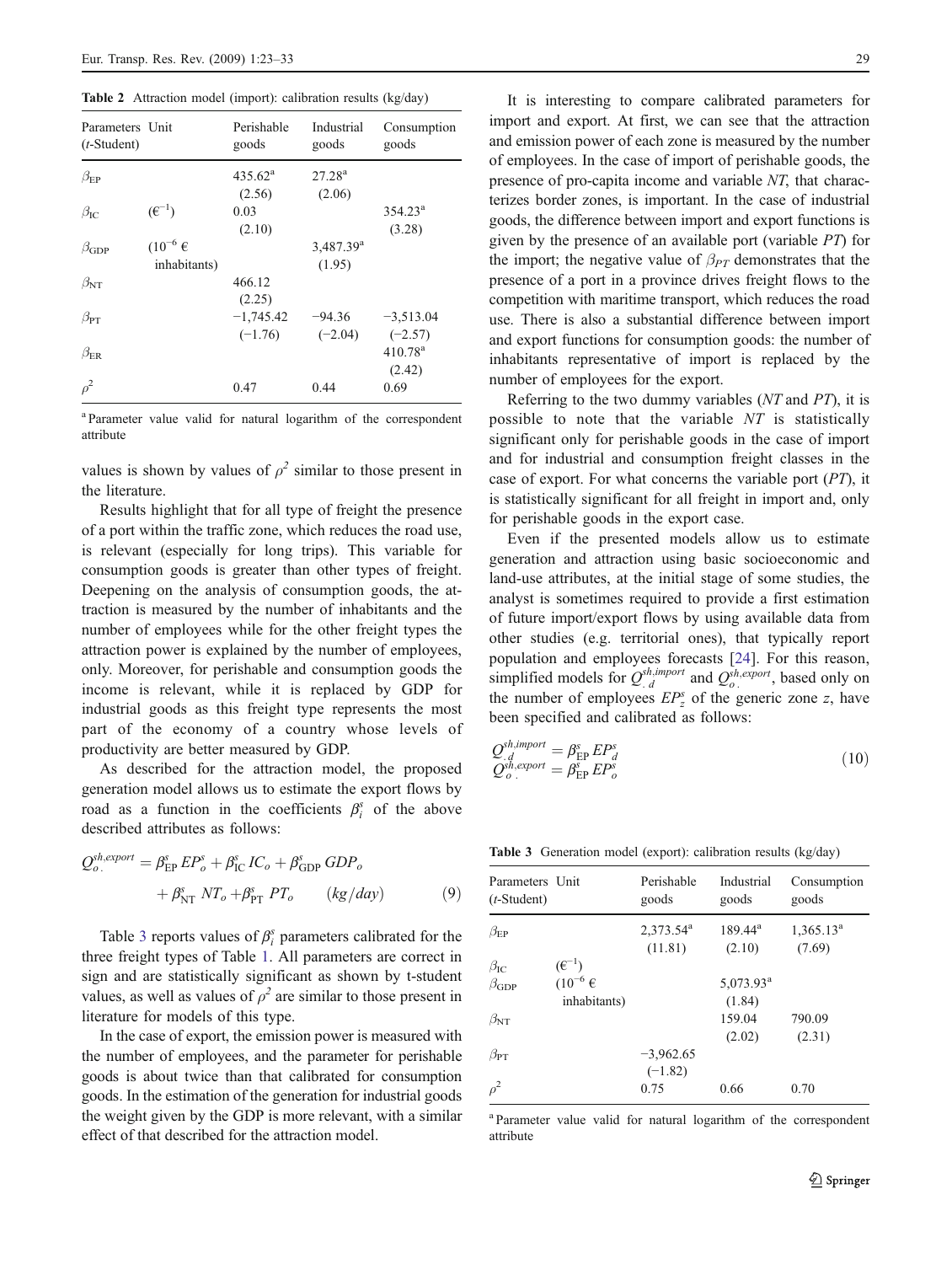<span id="page-6-0"></span>Table 2 Attraction model (import): calibration results (kg/day)

| Parameters Unit<br>$(t$ -Student) |                                      | Perishable<br>goods        | Industrial<br>goods               | Consumption<br>goods       |
|-----------------------------------|--------------------------------------|----------------------------|-----------------------------------|----------------------------|
| $\beta_{\rm EP}$                  |                                      | $435.62^{\rm a}$<br>(2.56) | $27.28^{a}$<br>(2.06)             |                            |
| $\beta_{\rm IC}$                  | $(\epsilon^{-1})$                    | 0.03<br>(2.10)             |                                   | $354.23^{\rm a}$<br>(3.28) |
| $\beta_{\rm GDP}$                 | $(10^{-6} \epsilon)$<br>inhabitants) |                            | $3,487.39$ <sup>a</sup><br>(1.95) |                            |
| $\beta_{\rm NT}$                  |                                      | 466.12<br>(2.25)           |                                   |                            |
| $\beta_{\texttt{PT}}$             |                                      | $-1,745.42$<br>$(-1.76)$   | $-94.36$<br>$(-2.04)$             | $-3,513.04$<br>$(-2.57)$   |
| $\beta_{\rm ER}$                  |                                      |                            |                                   | $410.78^{a}$<br>(2.42)     |
| $\rho^2$                          |                                      | 0.47                       | 0.44                              | 0.69                       |

<sup>a</sup> Parameter value valid for natural logarithm of the correspondent attribute

values is shown by values of  $\rho^2$  similar to those present in the literature.

Results highlight that for all type of freight the presence of a port within the traffic zone, which reduces the road use, is relevant (especially for long trips). This variable for consumption goods is greater than other types of freight. Deepening on the analysis of consumption goods, the attraction is measured by the number of inhabitants and the number of employees while for the other freight types the attraction power is explained by the number of employees, only. Moreover, for perishable and consumption goods the income is relevant, while it is replaced by GDP for industrial goods as this freight type represents the most part of the economy of a country whose levels of productivity are better measured by GDP.

As described for the attraction model, the proposed generation model allows us to estimate the export flows by road as a function in the coefficients  $\beta_i^s$  of the above described attributes as follows:

$$
Q_o^{sh, export} = \beta_{EP}^s E P_o^s + \beta_{IC}^s IC_o + \beta_{GDP}^s GDP_o
$$
  
+  $\beta_{NT}^s NT_o + \beta_{PT}^s PT_o$  (*kg/day*) (9)

Table 3 reports values of  $\beta_i^s$  parameters calibrated for the three freight types of Table [1](#page-5-0). All parameters are correct in sign and are statistically significant as shown by t-student values, as well as values of  $\rho^2$  are similar to those present in literature for models of this type.

In the case of export, the emission power is measured with the number of employees, and the parameter for perishable goods is about twice than that calibrated for consumption goods. In the estimation of the generation for industrial goods the weight given by the GDP is more relevant, with a similar effect of that described for the attraction model.

It is interesting to compare calibrated parameters for import and export. At first, we can see that the attraction and emission power of each zone is measured by the number of employees. In the case of import of perishable goods, the presence of pro-capita income and variable NT, that characterizes border zones, is important. In the case of industrial goods, the difference between import and export functions is given by the presence of an available port (variable PT) for the import; the negative value of  $\beta_{PT}$  demonstrates that the presence of a port in a province drives freight flows to the competition with maritime transport, which reduces the road use. There is also a substantial difference between import and export functions for consumption goods: the number of inhabitants representative of import is replaced by the number of employees for the export.

Referring to the two dummy variables (NT and PT), it is possible to note that the variable NT is statistically significant only for perishable goods in the case of import and for industrial and consumption freight classes in the case of export. For what concerns the variable port (PT), it is statistically significant for all freight in import and, only for perishable goods in the export case.

Even if the presented models allow us to estimate generation and attraction using basic socioeconomic and land-use attributes, at the initial stage of some studies, the analyst is sometimes required to provide a first estimation of future import/export flows by using available data from other studies (e.g. territorial ones), that typically report population and employees forecasts [[24\]](#page-10-0). For this reason, simplified models for  $Q_{d}^{sh,import}$  and  $Q_{o}^{sh,export}$ , based only on the number of employees  $EP_z^s$  of the generic zone z, have been specified and calibrated as follows:

$$
\mathcal{Q}_{d}^{sh,import} = \beta_{\text{EP}}^{s} \mathit{EP}_{d}^{s}
$$
\n
$$
\mathcal{Q}_{o}^{sh,export} = \beta_{\text{EP}}^{s} \mathit{EP}_{o}^{s}
$$
\n
$$
(10)
$$

Table 3 Generation model (export): calibration results (kg/day)

| Parameters Unit<br>$(t$ -Student) |                      | Perishable<br>goods     | Industrial<br>goods        | Consumption<br>goods   |
|-----------------------------------|----------------------|-------------------------|----------------------------|------------------------|
| $\beta_{\rm EP}$                  |                      | $2,373.54^a$<br>(11.81) | $189.44^{\rm a}$<br>(2.10) | $1,365.13^a$<br>(7.69) |
| $\beta_{\rm IC}$                  | $(\epsilon^{-1})$    |                         |                            |                        |
| $\beta_{\rm GDP}$                 | $(10^{-6} \epsilon)$ |                         | 5,073.93 <sup>a</sup>      |                        |
|                                   | inhabitants)         |                         | (1.84)                     |                        |
| $\beta_{\rm NT}$                  |                      |                         | 159.04                     | 790.09                 |
|                                   |                      |                         | (2.02)                     | (2.31)                 |
| $\beta_{\texttt{PT}}$             |                      | $-3,962.65$             |                            |                        |
|                                   |                      | $(-1.82)$               |                            |                        |
| $\rho^2$                          |                      | 0.75                    | 0.66                       | 0.70                   |

a Parameter value valid for natural logarithm of the correspondent attribute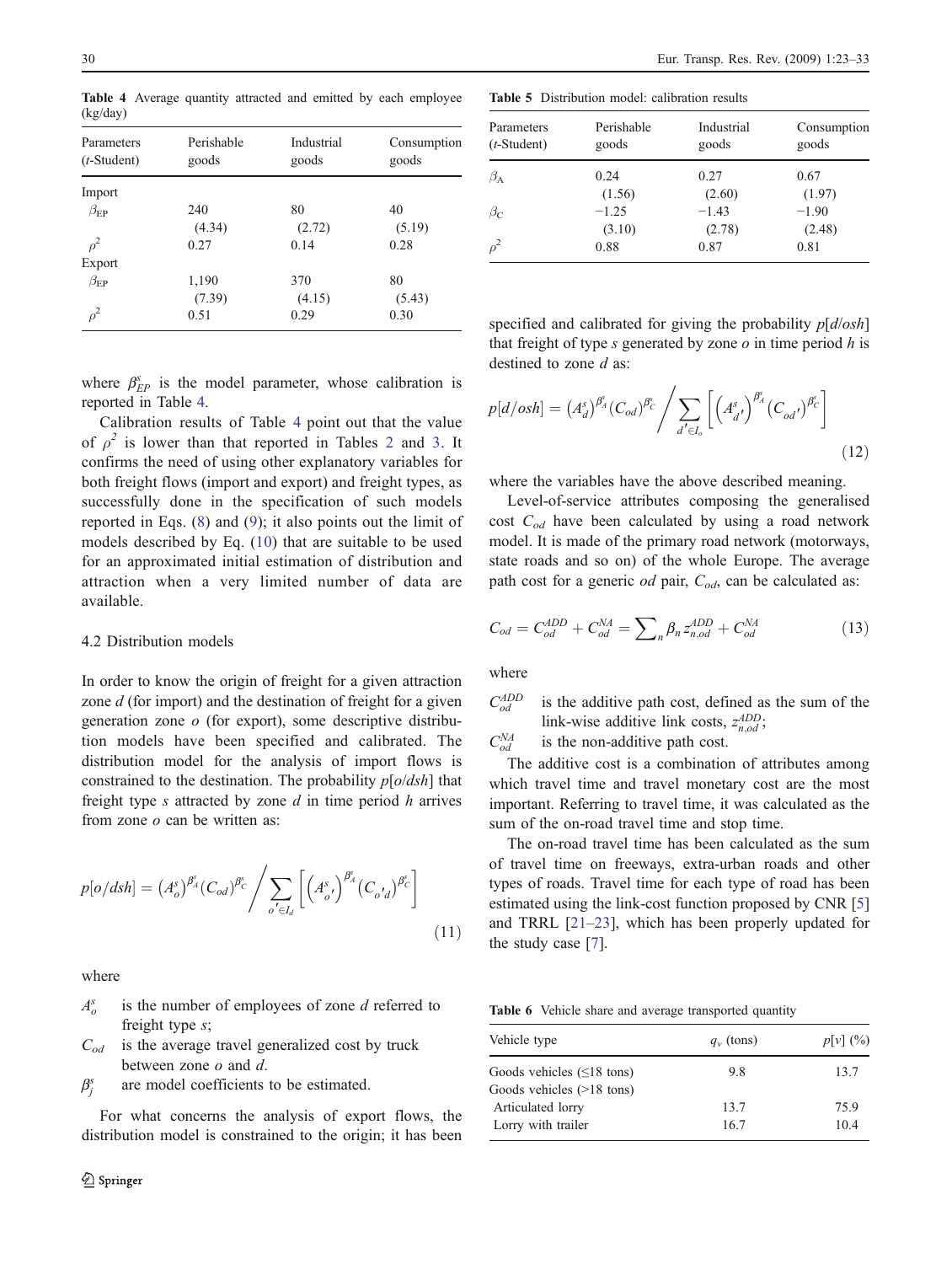<span id="page-7-0"></span>Table 4 Average quantity attracted and emitted by each employee (kg/day)

| Parameters<br>$(t$ -Student) | Perishable<br>goods | Industrial<br>goods | Consumption<br>goods |
|------------------------------|---------------------|---------------------|----------------------|
| Import                       |                     |                     |                      |
| $\beta_\mathrm{EP}$          | 240<br>(4.34)       | 80<br>(2.72)        | 40<br>(5.19)         |
| $\rho^2$                     | 0.27                | 0.14                | 0.28                 |
| Export                       |                     |                     |                      |
| $\beta_{\rm EP}$             | 1,190<br>(7.39)     | 370<br>(4.15)       | 80<br>(5.43)         |
| $\rho^2$                     | 0.51                | 0.29                | 0.30                 |

where  $\beta_{EP}^s$  is the model parameter, whose calibration is reported in Table 4.

Calibration results of Table 4 point out that the value of  $\rho^2$  $\rho^2$  is lower than that reported in Tables 2 and [3.](#page-6-0) It confirms the need of using other explanatory variables for both freight flows (import and export) and freight types, as successfully done in the specification of such models reported in Eqs. [\(8](#page-5-0)) and ([9](#page-6-0)); it also points out the limit of models described by Eq. ([10](#page-6-0)) that are suitable to be used for an approximated initial estimation of distribution and attraction when a very limited number of data are available.

#### 4.2 Distribution models

In order to know the origin of freight for a given attraction zone  $d$  (for import) and the destination of freight for a given generation zone o (for export), some descriptive distribution models have been specified and calibrated. The distribution model for the analysis of import flows is constrained to the destination. The probability  $p[o/dsh]$  that freight type  $s$  attracted by zone  $d$  in time period  $h$  arrives from zone  $o$  can be written as:

$$
p[o/dsh] = (A_o^s)^{\beta_A^s} (C_{od})^{\beta_C^s} / \sum_{o' \in I_d} \left[ \left( A_{o'}^s \right)^{\beta_A^s} (C_{o'd})^{\beta_C^s} \right]
$$
\n(11)

where

- $A_{\circ}^s$ is the number of employees of zone  $d$  referred to freight type s;
- $C_{od}$  is the average travel generalized cost by truck between zone o and d.
- $\beta_i^s$ are model coefficients to be estimated.

For what concerns the analysis of export flows, the distribution model is constrained to the origin; it has been

Table 5 Distribution model: calibration results

| Parameters      | Perishable | Industrial | Consumption |
|-----------------|------------|------------|-------------|
| $(t$ -Student)  | goods      | goods      | goods       |
| $\beta_{\rm A}$ | 0.24       | 0.27       | 0.67        |
| $\beta_{\rm C}$ | (1.56)     | (2.60)     | (1.97)      |
|                 | $-1.25$    | $-1.43$    | $-1.90$     |
| $\rho^2$        | (3.10)     | (2.78)     | (2.48)      |
|                 | 0.88       | 0.87       | 0.81        |

specified and calibrated for giving the probability  $p[d/osh]$ that freight of type s generated by zone  $o$  in time period  $h$  is destined to zone  $d$  as:

$$
p[d/osh] = (A_d^s)^{\beta_A^s} (C_{od})^{\beta_C^s} / \sum_{d' \in I_o} \left[ \left( A_{d'}^s \right)^{\beta_A^s} (C_{od'})^{\beta_C^s} \right]
$$
\n(12)

where the variables have the above described meaning.

Level-of-service attributes composing the generalised cost  $C_{od}$  have been calculated by using a road network model. It is made of the primary road network (motorways, state roads and so on) of the whole Europe. The average path cost for a generic *od* pair,  $C_{od}$ , can be calculated as:

$$
C_{od} = C_{od}^{ADD} + C_{od}^{NA} = \sum_{n} \beta_n z_{n,od}^{ADD} + C_{od}^{NA}
$$
 (13)

where

 $C_{od}^{ADD}$ is the additive path cost, defined as the sum of the link-wise additive link costs,  $z_{n,od}^{ADD}$ ;

 $C_{od}^{NA}$ is the non-additive path cost.

The additive cost is a combination of attributes among which travel time and travel monetary cost are the most important. Referring to travel time, it was calculated as the sum of the on-road travel time and stop time.

The on-road travel time has been calculated as the sum of travel time on freeways, extra-urban roads and other types of roads. Travel time for each type of road has been estimated using the link-cost function proposed by CNR [\[5](#page-9-0)] and TRRL [\[21](#page-10-0)–[23](#page-10-0)], which has been properly updated for the study case [[7\]](#page-9-0).

|  |  |  |  |  | Table 6 Vehicle share and average transported quantity |  |
|--|--|--|--|--|--------------------------------------------------------|--|
|--|--|--|--|--|--------------------------------------------------------|--|

| Vehicle type                            | $q_v$ (tons) | $p[v](\%)$ |
|-----------------------------------------|--------------|------------|
| Goods vehicles $(\leq 18 \text{ tons})$ | 9.8          | 13.7       |
| Goods vehicles $(>18$ tons)             |              |            |
| Articulated lorry                       | 13.7         | 75.9       |
| Lorry with trailer                      | 16.7         | 10.4       |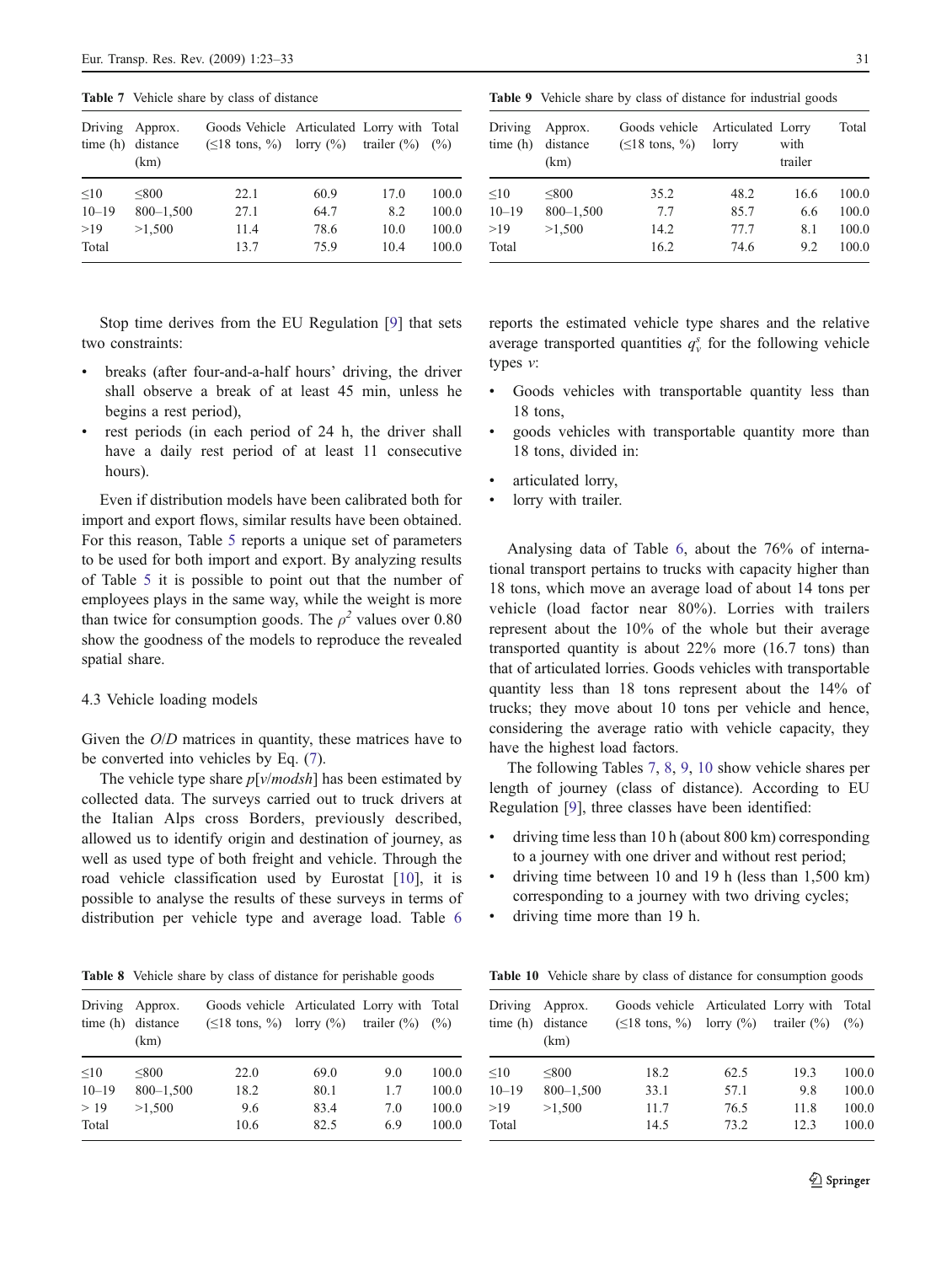|           | Driving Approx.<br>time (h) distance<br>(km) | Goods Vehicle Articulated Lorry with Total<br>$(\leq 18$ tons, $\%$ ) lorry $(\%$ ) |      | trailer $(\%)$ $(\%)$ |       |
|-----------|----------------------------------------------|-------------------------------------------------------------------------------------|------|-----------------------|-------|
| <10       | < 800                                        | 22.1                                                                                | 60.9 | 17.0                  | 100.0 |
| $10 - 19$ | $800 - 1,500$                                | 27.1                                                                                | 64.7 | 8.2                   | 100.0 |
| >19       | >1,500                                       | 11.4                                                                                | 78.6 | 10.0                  | 100.0 |
|           |                                              |                                                                                     |      |                       |       |

<span id="page-8-0"></span>Table 7 Vehicle share by class of distance

Stop time derives from the EU Regulation [[9\]](#page-9-0) that sets two constraints:

Total 13.7 75.9 10.4 100.0

- breaks (after four-and-a-half hours' driving, the driver shall observe a break of at least 45 min, unless he begins a rest period),
- rest periods (in each period of 24 h, the driver shall have a daily rest period of at least 11 consecutive hours).

Even if distribution models have been calibrated both for import and export flows, similar results have been obtained. For this reason, Table [5](#page-7-0) reports a unique set of parameters to be used for both import and export. By analyzing results of Table [5](#page-7-0) it is possible to point out that the number of employees plays in the same way, while the weight is more than twice for consumption goods. The  $\rho^2$  values over 0.80 show the goodness of the models to reproduce the revealed spatial share.

## 4.3 Vehicle loading models

Given the O/D matrices in quantity, these matrices have to be converted into vehicles by Eq. ([7\)](#page-4-0).

The vehicle type share  $p[\nu \mod n]$  has been estimated by collected data. The surveys carried out to truck drivers at the Italian Alps cross Borders, previously described, allowed us to identify origin and destination of journey, as well as used type of both freight and vehicle. Through the road vehicle classification used by Eurostat [\[10](#page-10-0)], it is possible to analyse the results of these surveys in terms of distribution per vehicle type and average load. Table [6](#page-7-0)

Table 8 Vehicle share by class of distance for perishable goods

| Driving<br>time(h) | Approx.<br>distance<br>(km) | Goods vehicle Articulated Lorry with Total<br>$(\leq 18$ tons, $\%$ ) lorry $(\%$ ) |      | trailer $(\% )$ | $\frac{6}{2}$ |
|--------------------|-----------------------------|-------------------------------------------------------------------------------------|------|-----------------|---------------|
| $\leq 10$          | < 800                       | 22.0                                                                                | 69.0 | 9.0             | 100.0         |
| $10 - 19$          | $800 - 1,500$               | 18.2                                                                                | 80.1 | 1.7             | 100.0         |
| >19                | >1.500                      | 9.6                                                                                 | 83.4 | 7.0             | 100.0         |
| Total              |                             | 10.6                                                                                | 82.5 | 6.9             | 100.0         |

Table 9 Vehicle share by class of distance for industrial goods

| Driving<br>time(h) | Approx.<br>distance<br>(km) | Goods vehicle<br>$(\leq 18$ tons, %) | Articulated Lorry<br>lorry | with<br>trailer | Total |
|--------------------|-----------------------------|--------------------------------------|----------------------------|-----------------|-------|
| $\leq 10$          | < 800                       | 35.2                                 | 48.2                       | 16.6            | 100.0 |
| $10 - 19$          | $800 - 1,500$               | 7.7                                  | 85.7                       | 6.6             | 100.0 |
| >19                | >1,500                      | 14.2                                 | 77.7                       | 8.1             | 100.0 |
| Total              |                             | 16.2                                 | 74.6                       | 9.2             | 100.0 |

reports the estimated vehicle type shares and the relative average transported quantities  $q_v^s$  for the following vehicle types v:

- Goods vehicles with transportable quantity less than 18 tons,
- goods vehicles with transportable quantity more than 18 tons, divided in:
- articulated lorry,
- lorry with trailer.

Analysing data of Table [6,](#page-7-0) about the 76% of international transport pertains to trucks with capacity higher than 18 tons, which move an average load of about 14 tons per vehicle (load factor near 80%). Lorries with trailers represent about the 10% of the whole but their average transported quantity is about 22% more (16.7 tons) than that of articulated lorries. Goods vehicles with transportable quantity less than 18 tons represent about the 14% of trucks; they move about 10 tons per vehicle and hence, considering the average ratio with vehicle capacity, they have the highest load factors.

The following Tables 7, 8, 9, 10 show vehicle shares per length of journey (class of distance). According to EU Regulation [\[9](#page-9-0)], three classes have been identified:

- driving time less than 10 h (about 800 km) corresponding to a journey with one driver and without rest period;
- driving time between 10 and 19 h (less than  $1,500 \text{ km}$ ) corresponding to a journey with two driving cycles;
- driving time more than 19 h.

Table 10 Vehicle share by class of distance for consumption goods

| Driving<br>time(h) | Approx.<br>distance<br>(km) | Goods vehicle Articulated Lorry with Total<br>$(\leq 18$ tons, $\%$ ) lorry $(\%$ ) |      | trailer $(\% )$ | $\frac{6}{2}$ |
|--------------------|-----------------------------|-------------------------------------------------------------------------------------|------|-----------------|---------------|
| <10                | < 800                       | 18.2                                                                                | 62.5 | 19.3            | 100.0         |
| $10 - 19$          | $800 - 1,500$               | 33.1                                                                                | 57.1 | 9.8             | 100.0         |
| >19                | >1.500                      | 11.7                                                                                | 76.5 | 11.8            | 100.0         |
| Total              |                             | 14.5                                                                                | 73.2 | 12.3            | 100.0         |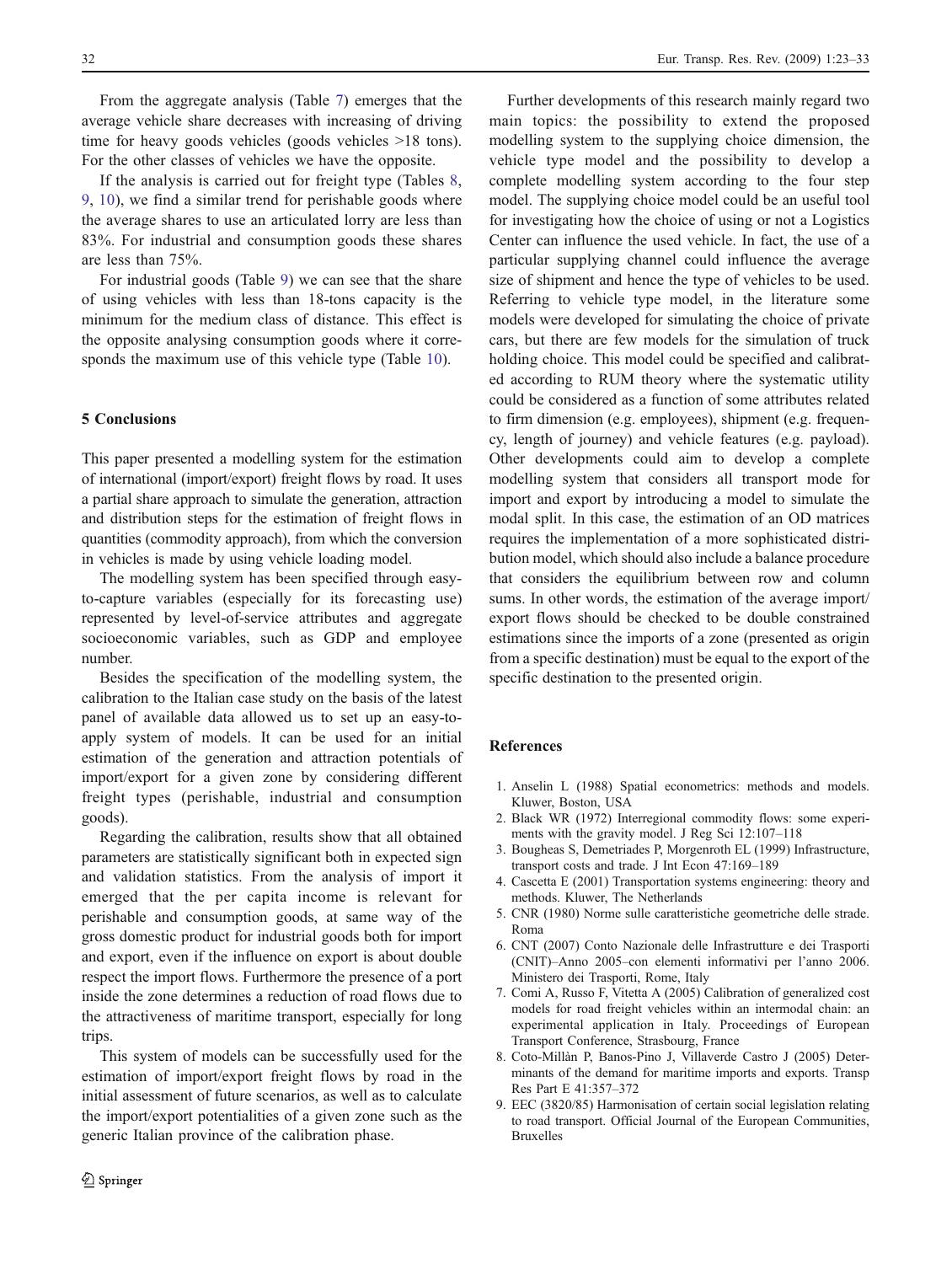<span id="page-9-0"></span>From the aggregate analysis (Table [7\)](#page-8-0) emerges that the average vehicle share decreases with increasing of driving time for heavy goods vehicles (goods vehicles >18 tons). For the other classes of vehicles we have the opposite.

If the analysis is carried out for freight type (Tables [8,](#page-8-0) [9](#page-8-0), [10](#page-8-0)), we find a similar trend for perishable goods where the average shares to use an articulated lorry are less than 83%. For industrial and consumption goods these shares are less than 75%.

For industrial goods (Table [9\)](#page-8-0) we can see that the share of using vehicles with less than 18-tons capacity is the minimum for the medium class of distance. This effect is the opposite analysing consumption goods where it corresponds the maximum use of this vehicle type (Table [10\)](#page-8-0).

## 5 Conclusions

This paper presented a modelling system for the estimation of international (import/export) freight flows by road. It uses a partial share approach to simulate the generation, attraction and distribution steps for the estimation of freight flows in quantities (commodity approach), from which the conversion in vehicles is made by using vehicle loading model.

The modelling system has been specified through easyto-capture variables (especially for its forecasting use) represented by level-of-service attributes and aggregate socioeconomic variables, such as GDP and employee number.

Besides the specification of the modelling system, the calibration to the Italian case study on the basis of the latest panel of available data allowed us to set up an easy-toapply system of models. It can be used for an initial estimation of the generation and attraction potentials of import/export for a given zone by considering different freight types (perishable, industrial and consumption goods).

Regarding the calibration, results show that all obtained parameters are statistically significant both in expected sign and validation statistics. From the analysis of import it emerged that the per capita income is relevant for perishable and consumption goods, at same way of the gross domestic product for industrial goods both for import and export, even if the influence on export is about double respect the import flows. Furthermore the presence of a port inside the zone determines a reduction of road flows due to the attractiveness of maritime transport, especially for long trips.

This system of models can be successfully used for the estimation of import/export freight flows by road in the initial assessment of future scenarios, as well as to calculate the import/export potentialities of a given zone such as the generic Italian province of the calibration phase.

Further developments of this research mainly regard two main topics: the possibility to extend the proposed modelling system to the supplying choice dimension, the vehicle type model and the possibility to develop a complete modelling system according to the four step model. The supplying choice model could be an useful tool for investigating how the choice of using or not a Logistics Center can influence the used vehicle. In fact, the use of a particular supplying channel could influence the average size of shipment and hence the type of vehicles to be used. Referring to vehicle type model, in the literature some models were developed for simulating the choice of private cars, but there are few models for the simulation of truck holding choice. This model could be specified and calibrated according to RUM theory where the systematic utility could be considered as a function of some attributes related to firm dimension (e.g. employees), shipment (e.g. frequency, length of journey) and vehicle features (e.g. payload). Other developments could aim to develop a complete modelling system that considers all transport mode for import and export by introducing a model to simulate the modal split. In this case, the estimation of an OD matrices requires the implementation of a more sophisticated distribution model, which should also include a balance procedure that considers the equilibrium between row and column sums. In other words, the estimation of the average import/ export flows should be checked to be double constrained estimations since the imports of a zone (presented as origin from a specific destination) must be equal to the export of the specific destination to the presented origin.

## References

- 1. Anselin L (1988) Spatial econometrics: methods and models. Kluwer, Boston, USA
- 2. Black WR (1972) Interregional commodity flows: some experiments with the gravity model. J Reg Sci 12:107–118
- 3. Bougheas S, Demetriades P, Morgenroth EL (1999) Infrastructure, transport costs and trade. J Int Econ 47:169–189
- 4. Cascetta E (2001) Transportation systems engineering: theory and methods. Kluwer, The Netherlands
- 5. CNR (1980) Norme sulle caratteristiche geometriche delle strade. Roma
- 6. CNT (2007) Conto Nazionale delle Infrastrutture e dei Trasporti (CNIT)–Anno 2005–con elementi informativi per l'anno 2006. Ministero dei Trasporti, Rome, Italy
- 7. Comi A, Russo F, Vitetta A (2005) Calibration of generalized cost models for road freight vehicles within an intermodal chain: an experimental application in Italy. Proceedings of European Transport Conference, Strasbourg, France
- 8. Coto-Millàn P, Banos-Pino J, Villaverde Castro J (2005) Determinants of the demand for maritime imports and exports. Transp Res Part E 41:357–372
- 9. EEC (3820/85) Harmonisation of certain social legislation relating to road transport. Official Journal of the European Communities, Bruxelles